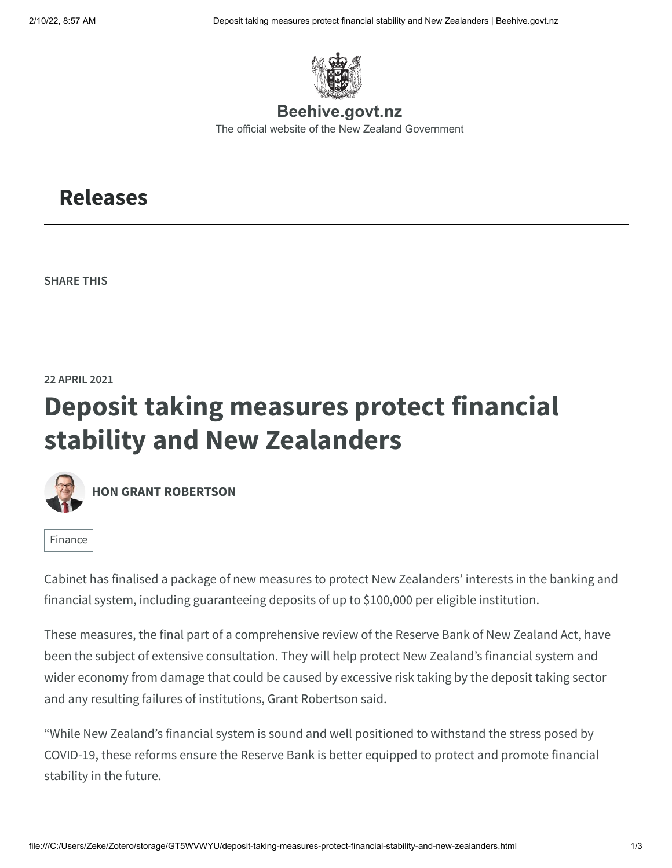

**Beehive.govt.nz** [The official website of the New Zealand Government](https://www.beehive.govt.nz/)

## <span id="page-0-0"></span>**[Releases](https://www.beehive.govt.nz/releases)**

**SHARE THIS**

**22 APRIL 2021**

## **Deposit taking measures protect financial stability and New Zealanders**



**[HON GRANT ROBERTSON](https://www.beehive.govt.nz/minister/hon-grant-robertson)**

[Finance](https://www.beehive.govt.nz/portfolio/labour-2020-2023/finance)

Cabinet has finalised a package of new measures to protect New Zealanders' interests in the banking and financial system, including guaranteeing deposits of up to \$100,000 per eligible institution.

These measures, the final part of a comprehensive review of the Reserve Bank of New Zealand Act, have been the subject of extensive consultation. They will help protect New Zealand's financial system and wider economy from damage that could be caused by excessive risk taking by the deposit taking sector and any resulting failures of institutions, Grant Robertson said.

"While New Zealand's financial system is sound and well positioned to withstand the stress posed by COVID-19, these reforms ensure the Reserve Bank is better equipped to protect and promote financial stability in the future.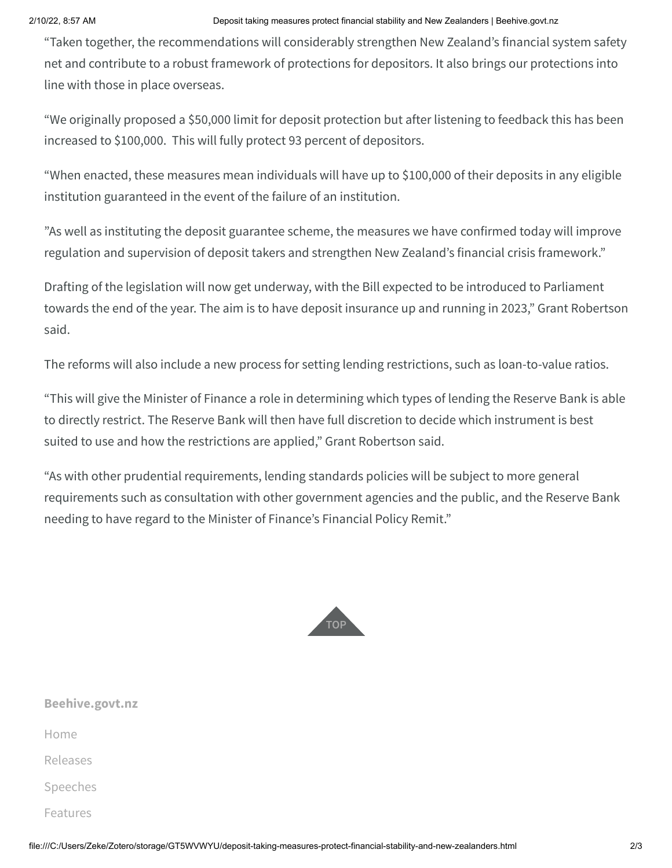## 2/10/22, 8:57 AM Deposit taking measures protect financial stability and New Zealanders | Beehive.govt.nz

"Taken together, the recommendations will considerably strengthen New Zealand's financial system safety net and contribute to a robust framework of protections for depositors. It also brings our protections into line with those in place overseas.

"We originally proposed a \$50,000 limit for deposit protection but after listening to feedback this has been increased to \$100,000. This will fully protect 93 percent of depositors.

"When enacted, these measures mean individuals will have up to \$100,000 of their deposits in any eligible institution guaranteed in the event of the failure of an institution.

"As well as instituting the deposit guarantee scheme, the measures we have confirmed today will improve regulation and supervision of deposit takers and strengthen New Zealand's financial crisis framework."

Drafting of the legislation will now get underway, with the Bill expected to be introduced to Parliament towards the end of the year. The aim is to have deposit insurance up and running in 2023," Grant Robertson said.

The reforms will also include a new process for setting lending restrictions, such as loan-to-value ratios.

"This will give the Minister of Finance a role in determining which types of lending the Reserve Bank is able to directly restrict. The Reserve Bank will then have full discretion to decide which instrument is best suited to use and how the restrictions are applied," Grant Robertson said.

"As with other prudential requirements, lending standards policies will be subject to more general requirements such as consultation with other government agencies and the public, and the Reserve Bank needing to have regard to the Minister of Finance's Financial Policy Remit."



| Beehive.govt.nz |
|-----------------|
| Home            |
| Releases        |
| Speeches        |
| Features        |